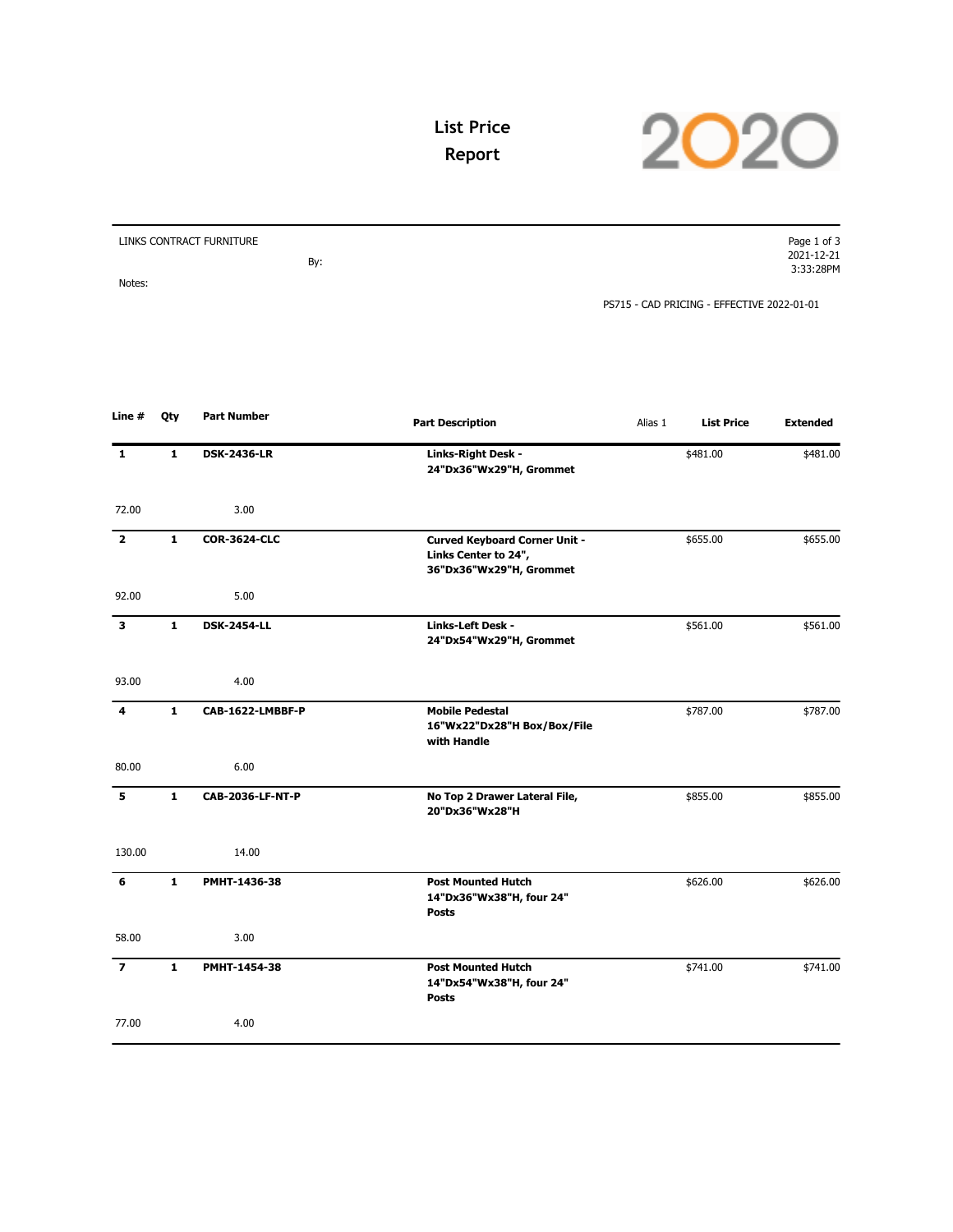

## **List Price Report**

| LINKS CONTRACT FURNITURE | Page 1 of 3                                |
|--------------------------|--------------------------------------------|
|                          | 2021-12-21                                 |
| By:                      | 3:33:28PM                                  |
| Notes:                   |                                            |
|                          | PS715 - CAD PRICING - EFFECTIVE 2022-01-01 |

| Line #         | Qty          | <b>Part Number</b>  | <b>Part Description</b>                                                                 | Alias 1 | <b>List Price</b> | <b>Extended</b> |
|----------------|--------------|---------------------|-----------------------------------------------------------------------------------------|---------|-------------------|-----------------|
| 1              | 1            | <b>DSK-2436-LR</b>  | Links-Right Desk -<br>24"Dx36"Wx29"H, Grommet                                           |         | \$481.00          | \$481.00        |
| 72.00          |              | 3.00                |                                                                                         |         |                   |                 |
| $\overline{2}$ | $\mathbf{1}$ | <b>COR-3624-CLC</b> | <b>Curved Keyboard Corner Unit -</b><br>Links Center to 24",<br>36"Dx36"Wx29"H, Grommet |         | \$655.00          | \$655.00        |
| 92.00          |              | 5.00                |                                                                                         |         |                   |                 |
| 3              | $\mathbf{1}$ | <b>DSK-2454-LL</b>  | Links-Left Desk -<br>24"Dx54"Wx29"H, Grommet                                            |         | \$561.00          | \$561.00        |
| 93.00          |              | 4.00                |                                                                                         |         |                   |                 |
| 4              | $\mathbf{1}$ | CAB-1622-LMBBF-P    | <b>Mobile Pedestal</b><br>16"Wx22"Dx28"H Box/Box/File<br>with Handle                    |         | \$787.00          | \$787.00        |
| 80.00          |              | 6.00                |                                                                                         |         |                   |                 |
| 5              | $\mathbf{1}$ | CAB-2036-LF-NT-P    | No Top 2 Drawer Lateral File,<br>20"Dx36"Wx28"H                                         |         | \$855.00          | \$855.00        |
| 130.00         |              | 14.00               |                                                                                         |         |                   |                 |
| 6              | $\mathbf{1}$ | PMHT-1436-38        | <b>Post Mounted Hutch</b><br>14"Dx36"Wx38"H, four 24"<br><b>Posts</b>                   |         | \$626.00          | \$626.00        |
| 58.00          |              | 3.00                |                                                                                         |         |                   |                 |
| $\overline{ }$ | $\mathbf{1}$ | PMHT-1454-38        | <b>Post Mounted Hutch</b><br>14"Dx54"Wx38"H, four 24"<br><b>Posts</b>                   |         | \$741.00          | \$741.00        |
| 77.00          |              | 4.00                |                                                                                         |         |                   |                 |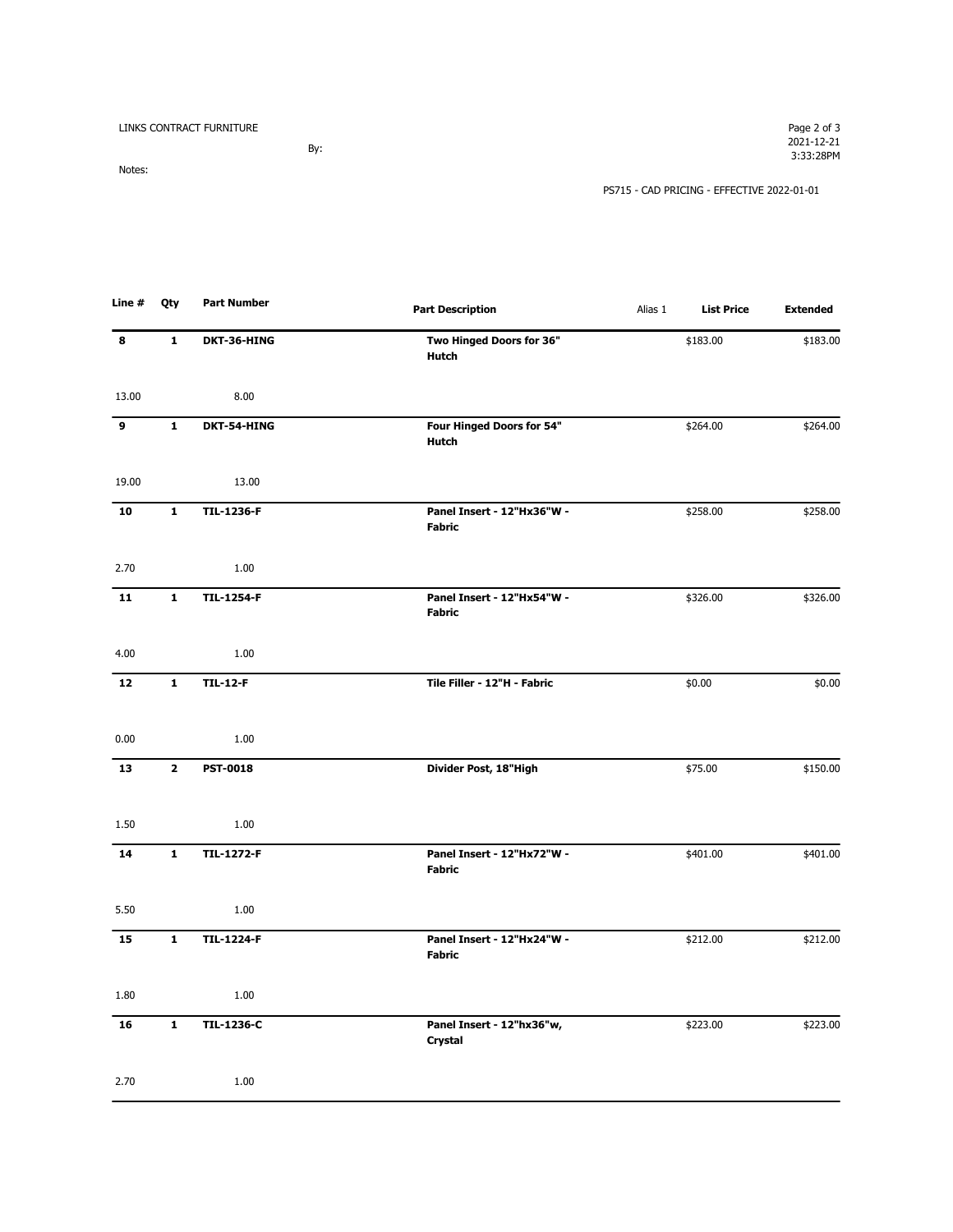| LINKS CONTRACT FURNITURE | Page 2 of 3                                |
|--------------------------|--------------------------------------------|
|                          | 2021-12-21                                 |
| By:                      | 3:33:28PM                                  |
| Notes:                   |                                            |
|                          | PS715 - CAD PRICING - EFFECTIVE 2022-01-01 |

| Line # | Qty          | Part Number       | <b>Part Description</b>                     | Alias 1 | <b>List Price</b> | <b>Extended</b> |
|--------|--------------|-------------------|---------------------------------------------|---------|-------------------|-----------------|
| 8      | 1            | DKT-36-HING       | Two Hinged Doors for 36"<br><b>Hutch</b>    |         | \$183.00          | \$183.00        |
| 13.00  |              | 8.00              |                                             |         |                   |                 |
| 9      | $\mathbf{1}$ | DKT-54-HING       | Four Hinged Doors for 54"<br><b>Hutch</b>   |         | \$264.00          | \$264.00        |
| 19.00  |              | 13.00             |                                             |         |                   |                 |
| 10     | $\mathbf{1}$ | <b>TIL-1236-F</b> | Panel Insert - 12"Hx36"W -<br><b>Fabric</b> |         | \$258.00          | \$258.00        |
| 2.70   |              | 1.00              |                                             |         |                   |                 |
| 11     | $\mathbf{1}$ | <b>TIL-1254-F</b> | Panel Insert - 12"Hx54"W -<br><b>Fabric</b> |         | \$326.00          | \$326.00        |
| 4.00   |              | 1.00              |                                             |         |                   |                 |
| 12     | $\mathbf{1}$ | <b>TIL-12-F</b>   | Tile Filler - 12"H - Fabric                 |         | \$0.00            | \$0.00          |
| 0.00   |              | 1.00              |                                             |         |                   |                 |
| 13     | $\mathbf{2}$ | <b>PST-0018</b>   | Divider Post, 18"High                       |         | \$75.00           | \$150.00        |
| 1.50   |              | 1.00              |                                             |         |                   |                 |
| 14     | $\mathbf{1}$ | <b>TIL-1272-F</b> | Panel Insert - 12"Hx72"W -<br><b>Fabric</b> |         | \$401.00          | \$401.00        |
| 5.50   |              | 1.00              |                                             |         |                   |                 |
| 15     | $\mathbf{1}$ | <b>TIL-1224-F</b> | Panel Insert - 12"Hx24"W -<br><b>Fabric</b> |         | \$212.00          | \$212.00        |
| 1.80   |              | 1.00              |                                             |         |                   |                 |
| 16     | $\mathbf{1}$ | <b>TIL-1236-C</b> | Panel Insert - 12"hx36"w,<br>Crystal        |         | \$223.00          | \$223.00        |
| 2.70   |              | 1.00              |                                             |         |                   |                 |